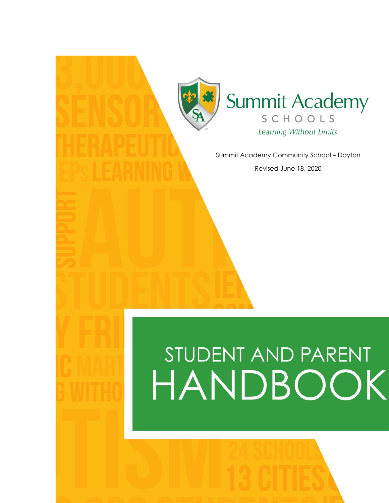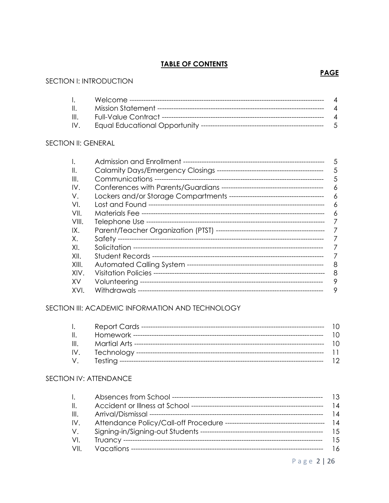## **TABLE OF CONTENTS**

| $\mathbf{L}$    | $\overline{A}$ |
|-----------------|----------------|
| $\mathbf{II}$ . | $\overline{A}$ |
| III.            | $\overline{A}$ |
| IV.             | - 5            |

#### SECTION II: GENERAL

|       | 5 |
|-------|---|
| Ⅱ.    | 5 |
| III.  | 5 |
| IV.   | 6 |
| V.    | 6 |
| VI.   | 6 |
| VII.  | 6 |
| VIII. | 7 |
| IX.   | 7 |
| Χ.    |   |
| XI.   |   |
| XII.  |   |
| XIII. | 8 |
| XIV.  | 8 |
| XV.   | 9 |
| XVI.  | 9 |

#### SECTION III: ACADEMIC INFORMATION AND TECHNOLOGY

|      | 10. |
|------|-----|
| ΙΙ.  | 10. |
| III. | 10. |
| IV.  |     |
| V.   |     |

## SECTION IV: ATTENDANCE

| $\mathbf{L}$  |                                      | 13              |
|---------------|--------------------------------------|-----------------|
| $\parallel$ . |                                      | 14              |
| III.          |                                      | 14              |
| IV.           | Attendance Policy/Call-off Procedure | $\overline{14}$ |
| V.            |                                      | 1.5             |
| VI.           |                                      | 1.5             |
| VII.          |                                      | 16              |

## **PAGE**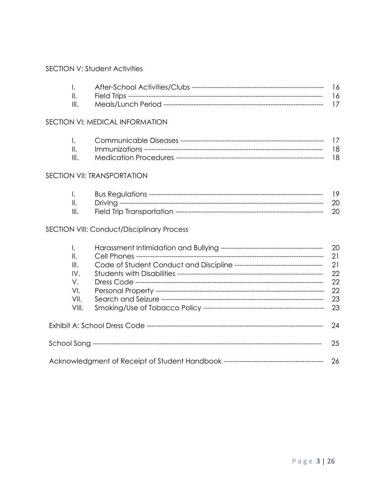**SECTION V: Student Activities** 

## SECTION VI: MEDICAL INFORMATION

|                | 18  |
|----------------|-----|
| $\mathbb{H}$ . | -18 |

#### SECTION VII: TRANSPORTATION

|      | -19 |
|------|-----|
|      |     |
| III. |     |

## SECTION VIII: Conduct/Disciplinary Process

| Ш.<br>III.<br>IV.<br>V.<br>VI.<br>VII.<br>VIII. | 20<br>21<br>21<br>22<br>22<br>22<br>23<br>23 |
|-------------------------------------------------|----------------------------------------------|
|                                                 | 24                                           |
|                                                 | 25                                           |
|                                                 | 26                                           |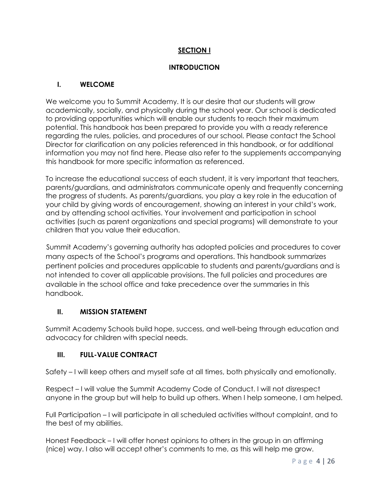## **SECTION I**

## **INTRODUCTION**

## **I. WELCOME**

We welcome you to Summit Academy. It is our desire that our students will grow academically, socially, and physically during the school year. Our school is dedicated to providing opportunities which will enable our students to reach their maximum potential. This handbook has been prepared to provide you with a ready reference regarding the rules, policies, and procedures of our school. Please contact the School Director for clarification on any policies referenced in this handbook, or for additional information you may not find here. Please also refer to the supplements accompanying this handbook for more specific information as referenced.

To increase the educational success of each student, it is very important that teachers, parents/guardians, and administrators communicate openly and frequently concerning the progress of students. As parents/guardians, you play a key role in the education of your child by giving words of encouragement, showing an interest in your child's work, and by attending school activities. Your involvement and participation in school activities (such as parent organizations and special programs) will demonstrate to your children that you value their education.

Summit Academy's governing authority has adopted policies and procedures to cover many aspects of the School's programs and operations. This handbook summarizes pertinent policies and procedures applicable to students and parents/guardians and is not intended to cover all applicable provisions. The full policies and procedures are available in the school office and take precedence over the summaries in this handbook.

## **II. MISSION STATEMENT**

Summit Academy Schools build hope, success, and well-being through education and advocacy for children with special needs.

## **III. FULL-VALUE CONTRACT**

Safety – I will keep others and myself safe at all times, both physically and emotionally.

Respect – I will value the Summit Academy Code of Conduct. I will not disrespect anyone in the group but will help to build up others. When I help someone, I am helped.

Full Participation – I will participate in all scheduled activities without complaint, and to the best of my abilities.

Honest Feedback – I will offer honest opinions to others in the group in an affirming (nice) way. I also will accept other's comments to me, as this will help me grow.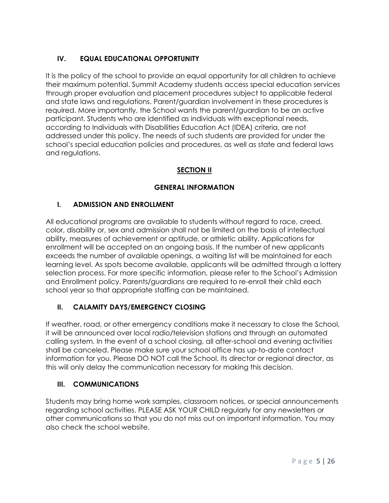## **IV. EQUAL EDUCATIONAL OPPORTUNITY**

It is the policy of the school to provide an equal opportunity for all children to achieve their maximum potential. Summit Academy students access special education services through proper evaluation and placement procedures subject to applicable federal and state laws and regulations. Parent/guardian involvement in these procedures is required. More importantly, the School wants the parent/guardian to be an active participant. Students who are identified as individuals with exceptional needs, according to Individuals with Disabilities Education Act (IDEA) criteria, are not addressed under this policy. The needs of such students are provided for under the school's special education policies and procedures, as well as state and federal laws and regulations.

## **SECTION II**

## **GENERAL INFORMATION**

## **I. ADMISSION AND ENROLLMENT**

All educational programs are available to students without regard to race, creed, color, disability or, sex and admission shall not be limited on the basis of intellectual ability, measures of achievement or aptitude, or athletic ability. Applications for enrollment will be accepted on an ongoing basis. If the number of new applicants exceeds the number of available openings, a waiting list will be maintained for each learning level. As spots become available, applicants will be admitted through a lottery selection process. For more specific information, please refer to the School's Admission and Enrollment policy. Parents/guardians are required to re-enroll their child each school year so that appropriate staffing can be maintained.

## **II. CALAMITY DAYS/EMERGENCY CLOSING**

If weather, road, or other emergency conditions make it necessary to close the School, it will be announced over local radio/television stations and through an automated calling system. In the event of a school closing, all after-school and evening activities shall be canceled. Please make sure your school office has up-to-date contact information for you. Please DO NOT call the School, its director or regional director, as this will only delay the communication necessary for making this decision.

## **III. COMMUNICATIONS**

Students may bring home work samples, classroom notices, or special announcements regarding school activities. PLEASE ASK YOUR CHILD regularly for any newsletters or other communications so that you do not miss out on important information. You may also check the school website.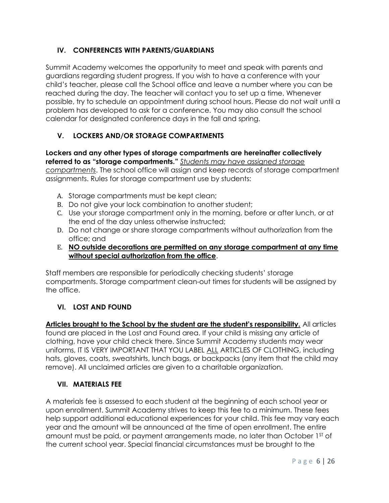## **IV. CONFERENCES WITH PARENTS/GUARDIANS**

Summit Academy welcomes the opportunity to meet and speak with parents and guardians regarding student progress. If you wish to have a conference with your child's teacher, please call the School office and leave a number where you can be reached during the day. The teacher will contact you to set up a time. Whenever possible, try to schedule an appointment during school hours. Please do not wait until a problem has developed to ask for a conference. You may also consult the school calendar for designated conference days in the fall and spring.

## **V. LOCKERS AND/OR STORAGE COMPARTMENTS**

#### **Lockers and any other types of storage compartments are hereinafter collectively referred to as "storage compartments."** *Students may have assigned storage compartments*. The school office will assign and keep records of storage compartment assignments. Rules for storage compartment use by students:

- A. Storage compartments must be kept clean;
- B. Do not give your lock combination to another student;
- C. Use your storage compartment only in the morning, before or after lunch, or at the end of the day unless otherwise instructed;
- D. Do not change or share storage compartments without authorization from the office; and
- E. **NO outside decorations are permitted on any storage compartment at any time without special authorization from the office**.

Staff members are responsible for periodically checking students' storage compartments. Storage compartment clean-out times for students will be assigned by the office.

## **VI. LOST AND FOUND**

**Articles brought to the School by the student are the student's responsibility.** All articles found are placed in the Lost and Found area. If your child is missing any article of clothing, have your child check there. Since Summit Academy students may wear uniforms, IT IS VERY IMPORTANT THAT YOU LABEL ALL ARTICLES OF CLOTHING, including hats, gloves, coats, sweatshirts, lunch bags, or backpacks (any item that the child may remove). All unclaimed articles are given to a charitable organization.

## **VII. MATERIALS FEE**

A materials fee is assessed to each student at the beginning of each school year or upon enrollment. Summit Academy strives to keep this fee to a minimum. These fees help support additional educational experiences for your child. This fee may vary each year and the amount will be announced at the time of open enrollment. The entire amount must be paid, or payment arrangements made, no later than October 1st of the current school year. Special financial circumstances must be brought to the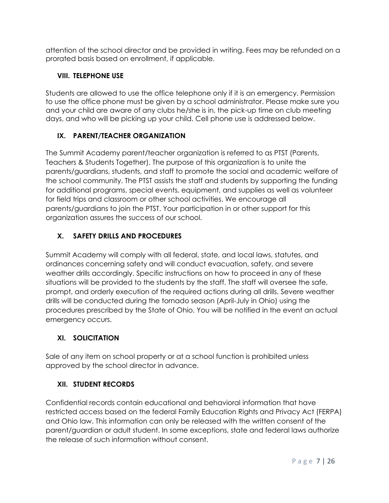attention of the school director and be provided in writing. Fees may be refunded on a prorated basis based on enrollment, if applicable.

## **VIII. TELEPHONE USE**

Students are allowed to use the office telephone only if it is an emergency. Permission to use the office phone must be given by a school administrator. Please make sure you and your child are aware of any clubs he/she is in, the pick-up time on club meeting days, and who will be picking up your child. Cell phone use is addressed below.

# **IX. PARENT/TEACHER ORGANIZATION**

The Summit Academy parent/teacher organization is referred to as PTST (Parents, Teachers & Students Together). The purpose of this organization is to unite the parents/guardians, students, and staff to promote the social and academic welfare of the school community. The PTST assists the staff and students by supporting the funding for additional programs, special events, equipment, and supplies as well as volunteer for field trips and classroom or other school activities. We encourage all parents/guardians to join the PTST. Your participation in or other support for this organization assures the success of our school.

# **X. SAFETY DRILLS AND PROCEDURES**

Summit Academy will comply with all federal, state, and local laws, statutes, and ordinances concerning safety and will conduct evacuation, safety, and severe weather drills accordingly. Specific instructions on how to proceed in any of these situations will be provided to the students by the staff. The staff will oversee the safe, prompt, and orderly execution of the required actions during all drills. Severe weather drills will be conducted during the tornado season (April-July in Ohio) using the procedures prescribed by the State of Ohio. You will be notified in the event an actual emergency occurs.

# **XI. SOLICITATION**

Sale of any item on school property or at a school function is prohibited unless approved by the school director in advance.

## **XII. STUDENT RECORDS**

Confidential records contain educational and behavioral information that have restricted access based on the federal Family Education Rights and Privacy Act (FERPA) and Ohio law. This information can only be released with the written consent of the parent/guardian or adult student. In some exceptions, state and federal laws authorize the release of such information without consent.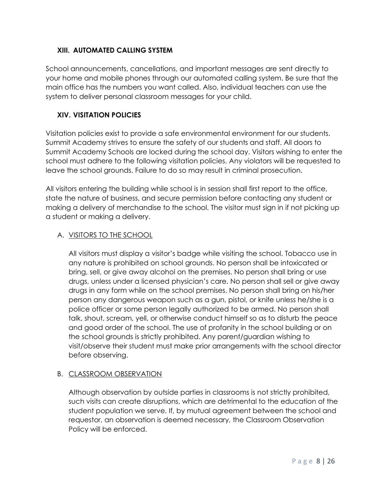## **XIII. AUTOMATED CALLING SYSTEM**

School announcements, cancellations, and important messages are sent directly to your home and mobile phones through our automated calling system. Be sure that the main office has the numbers you want called. Also, individual teachers can use the system to deliver personal classroom messages for your child.

## **XIV. VISITATION POLICIES**

Visitation policies exist to provide a safe environmental environment for our students. Summit Academy strives to ensure the safety of our students and staff. All doors to Summit Academy Schools are locked during the school day. Visitors wishing to enter the school must adhere to the following visitation policies. Any violators will be requested to leave the school grounds. Failure to do so may result in criminal prosecution.

All visitors entering the building while school is in session shall first report to the office, state the nature of business, and secure permission before contacting any student or making a delivery of merchandise to the school. The visitor must sign in if not picking up a student or making a delivery.

## A. VISITORS TO THE SCHOOL

All visitors must display a visitor's badge while visiting the school. Tobacco use in any nature is prohibited on school grounds. No person shall be intoxicated or bring, sell, or give away alcohol on the premises. No person shall bring or use drugs, unless under a licensed physician's care. No person shall sell or give away drugs in any form while on the school premises. No person shall bring on his/her person any dangerous weapon such as a gun, pistol, or knife unless he/she is a police officer or some person legally authorized to be armed. No person shall talk, shout, scream, yell, or otherwise conduct himself so as to disturb the peace and good order of the school. The use of profanity in the school building or on the school grounds is strictly prohibited. Any parent/guardian wishing to visit/observe their student must make prior arrangements with the school director before observing.

## B. CLASSROOM OBSERVATION

Although observation by outside parties in classrooms is not strictly prohibited, such visits can create disruptions, which are detrimental to the education of the student population we serve. If, by mutual agreement between the school and requestor, an observation is deemed necessary, the Classroom Observation Policy will be enforced.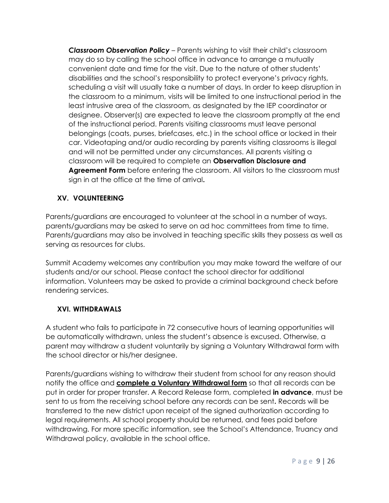*Classroom Observation Policy* – Parents wishing to visit their child's classroom may do so by calling the school office in advance to arrange a mutually convenient date and time for the visit. Due to the nature of other students' disabilities and the school's responsibility to protect everyone's privacy rights, scheduling a visit will usually take a number of days. In order to keep disruption in the classroom to a minimum, visits will be limited to one instructional period in the least intrusive area of the classroom, as designated by the IEP coordinator or designee. Observer(s) are expected to leave the classroom promptly at the end of the instructional period. Parents visiting classrooms must leave personal belongings (coats, purses, briefcases, etc.) in the school office or locked in their car. Videotaping and/or audio recording by parents visiting classrooms is illegal and will not be permitted under any circumstances. All parents visiting a classroom will be required to complete an **Observation Disclosure and Agreement Form** before entering the classroom. All visitors to the classroom must sign in at the office at the time of arrival**.**

## **XV. VOLUNTEERING**

Parents/guardians are encouraged to volunteer at the school in a number of ways. parents/guardians may be asked to serve on ad hoc committees from time to time. Parents/guardians may also be involved in teaching specific skills they possess as well as serving as resources for clubs.

Summit Academy welcomes any contribution you may make toward the welfare of our students and/or our school. Please contact the school director for additional information. Volunteers may be asked to provide a criminal background check before rendering services.

## **XVI. WITHDRAWALS**

A student who fails to participate in 72 consecutive hours of learning opportunities will be automatically withdrawn, unless the student's absence is excused. Otherwise, a parent may withdraw a student voluntarily by signing a Voluntary Withdrawal form with the school director or his/her designee.

Parents/guardians wishing to withdraw their student from school for any reason should notify the office and **complete a Voluntary Withdrawal form** so that all records can be put in order for proper transfer. A Record Release form, completed **in advance**, must be sent to us from the receiving school before any records can be sent**.** Records will be transferred to the new district upon receipt of the signed authorization according to legal requirements. All school property should be returned, and fees paid before withdrawing. For more specific information, see the School's Attendance, Truancy and Withdrawal policy, available in the school office.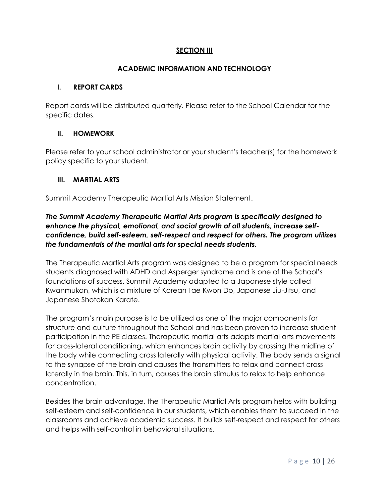## **SECTION III**

#### **ACADEMIC INFORMATION AND TECHNOLOGY**

#### **I. REPORT CARDS**

Report cards will be distributed quarterly. Please refer to the School Calendar for the specific dates.

#### **II. HOMEWORK**

Please refer to your school administrator or your student's teacher(s) for the homework policy specific to your student.

#### **III. MARTIAL ARTS**

Summit Academy Therapeutic Martial Arts Mission Statement.

## *The Summit Academy Therapeutic Martial Arts program is specifically designed to enhance the physical, emotional, and social growth of all students, increase selfconfidence, build self-esteem, self-respect and respect for others. The program utilizes the fundamentals of the martial arts for special needs students.*

The Therapeutic Martial Arts program was designed to be a program for special needs students diagnosed with ADHD and Asperger syndrome and is one of the School's foundations of success. Summit Academy adapted to a Japanese style called Kwanmukan, which is a mixture of Korean Tae Kwon Do, Japanese Jiu-Jitsu, and Japanese Shotokan Karate.

The program's main purpose is to be utilized as one of the major components for structure and culture throughout the School and has been proven to increase student participation in the PE classes. Therapeutic martial arts adapts martial arts movements for cross-lateral conditioning, which enhances brain activity by crossing the midline of the body while connecting cross laterally with physical activity. The body sends a signal to the synapse of the brain and causes the transmitters to relax and connect cross laterally in the brain. This, in turn, causes the brain stimulus to relax to help enhance concentration.

Besides the brain advantage, the Therapeutic Martial Arts program helps with building self-esteem and self-confidence in our students, which enables them to succeed in the classrooms and achieve academic success. It builds self-respect and respect for others and helps with self-control in behavioral situations.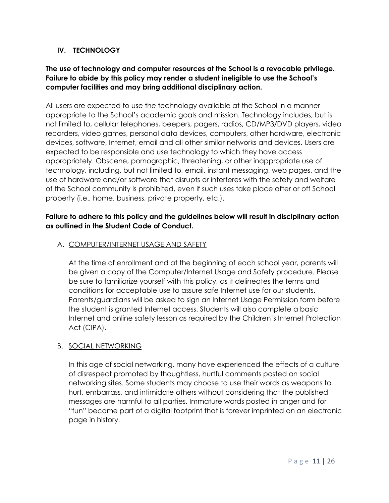## **IV. TECHNOLOGY**

## **The use of technology and computer resources at the School is a revocable privilege. Failure to abide by this policy may render a student ineligible to use the School's computer facilities and may bring additional disciplinary action.**

All users are expected to use the technology available at the School in a manner appropriate to the School's academic goals and mission. Technology includes, but is not limited to, cellular telephones, beepers, pagers, radios, CD/MP3/DVD players, video recorders, video games, personal data devices, computers, other hardware, electronic devices, software, Internet, email and all other similar networks and devices. Users are expected to be responsible and use technology to which they have access appropriately. Obscene, pornographic, threatening, or other inappropriate use of technology, including, but not limited to, email, instant messaging, web pages, and the use of hardware and/or software that disrupts or interferes with the safety and welfare of the School community is prohibited, even if such uses take place after or off School property (i.e., home, business, private property, etc.).

#### **Failure to adhere to this policy and the guidelines below will result in disciplinary action as outlined in the Student Code of Conduct.**

#### A. COMPUTER/INTERNET USAGE AND SAFETY

At the time of enrollment and at the beginning of each school year, parents will be given a copy of the Computer/Internet Usage and Safety procedure. Please be sure to familiarize yourself with this policy, as it delineates the terms and conditions for acceptable use to assure safe Internet use for our students. Parents/guardians will be asked to sign an Internet Usage Permission form before the student is granted Internet access. Students will also complete a basic Internet and online safety lesson as required by the Children's Internet Protection Act (CIPA).

#### B. SOCIAL NETWORKING

In this age of social networking, many have experienced the effects of a culture of disrespect promoted by thoughtless, hurtful comments posted on social networking sites. Some students may choose to use their words as weapons to hurt, embarrass, and intimidate others without considering that the published messages are harmful to all parties. Immature words posted in anger and for "fun" become part of a digital footprint that is forever imprinted on an electronic page in history.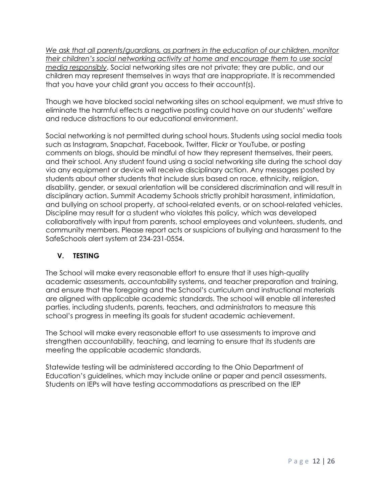*We ask that all parents/guardians, as partners in the education of our children, monitor their children's social networking activity at home and encourage them to use social media responsibly*. Social networking sites are not private; they are public, and our children may represent themselves in ways that are inappropriate. It is recommended that you have your child grant you access to their account(s).

Though we have blocked social networking sites on school equipment, we must strive to eliminate the harmful effects a negative posting could have on our students' welfare and reduce distractions to our educational environment.

Social networking is not permitted during school hours. Students using social media tools such as Instagram, Snapchat, Facebook, Twitter, Flickr or YouTube, or posting comments on blogs, should be mindful of how they represent themselves, their peers, and their school. Any student found using a social networking site during the school day via any equipment or device will receive disciplinary action. Any messages posted by students about other students that include slurs based on race, ethnicity, religion, disability, gender, or sexual orientation will be considered discrimination and will result in disciplinary action. Summit Academy Schools strictly prohibit harassment, intimidation, and bullying on school property, at school-related events, or on school-related vehicles. Discipline may result for a student who violates this policy, which was developed collaboratively with input from parents, school employees and volunteers, students, and community members. Please report acts or suspicions of bullying and harassment to the SafeSchools alert system at 234-231-0554.

## **V. TESTING**

The School will make every reasonable effort to ensure that it uses high-quality academic assessments, accountability systems, and teacher preparation and training, and ensure that the foregoing and the School's curriculum and instructional materials are aligned with applicable academic standards. The school will enable all interested parties, including students, parents, teachers, and administrators to measure this school's progress in meeting its goals for student academic achievement.

The School will make every reasonable effort to use assessments to improve and strengthen accountability, teaching, and learning to ensure that its students are meeting the applicable academic standards.

Statewide testing will be administered according to the Ohio Department of Education's guidelines, which may include online or paper and pencil assessments. Students on IEPs will have testing accommodations as prescribed on the IEP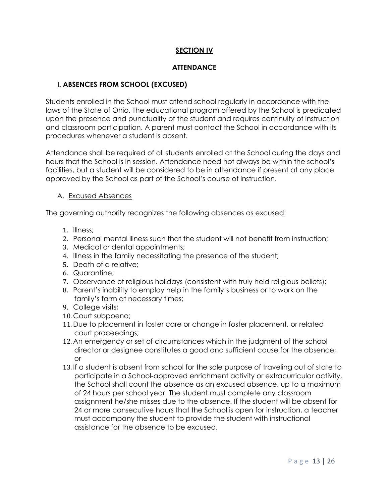## **SECTION IV**

#### **ATTENDANCE**

#### **I. ABSENCES FROM SCHOOL (EXCUSED)**

Students enrolled in the School must attend school regularly in accordance with the laws of the State of Ohio. The educational program offered by the School is predicated upon the presence and punctuality of the student and requires continuity of instruction and classroom participation. A parent must contact the School in accordance with its procedures whenever a student is absent.

Attendance shall be required of all students enrolled at the School during the days and hours that the School is in session. Attendance need not always be within the school's facilities, but a student will be considered to be in attendance if present at any place approved by the School as part of the School's course of instruction.

#### A. Excused Absences

The governing authority recognizes the following absences as excused:

- 1. Illness;
- 2. Personal mental illness such that the student will not benefit from instruction;
- 3. Medical or dental appointments;
- 4. Illness in the family necessitating the presence of the student;
- 5. Death of a relative;
- 6. Quarantine;
- 7. Observance of religious holidays (consistent with truly held religious beliefs);
- 8. Parent's inability to employ help in the family's business or to work on the family's farm at necessary times;
- 9. College visits;
- 10. Court subpoena;
- 11. Due to placement in foster care or change in foster placement, or related court proceedings;
- 12. An emergency or set of circumstances which in the judgment of the school director or designee constitutes a good and sufficient cause for the absence; or
- 13. If a student is absent from school for the sole purpose of traveling out of state to participate in a School-approved enrichment activity or extracurricular activity, the School shall count the absence as an excused absence, up to a maximum of 24 hours per school year. The student must complete any classroom assignment he/she misses due to the absence. If the student will be absent for 24 or more consecutive hours that the School is open for instruction, a teacher must accompany the student to provide the student with instructional assistance for the absence to be excused.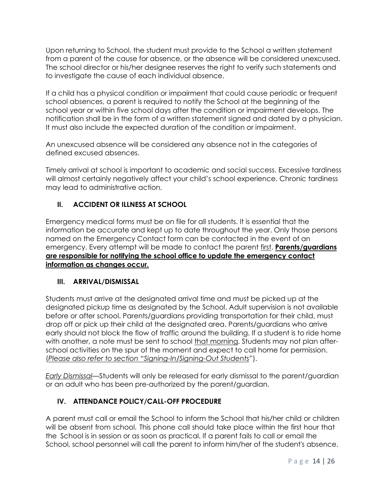Upon returning to School, the student must provide to the School a written statement from a parent of the cause for absence, or the absence will be considered unexcused. The school director or his/her designee reserves the right to verify such statements and to investigate the cause of each individual absence.

If a child has a physical condition or impairment that could cause periodic or frequent school absences, a parent is required to notify the School at the beginning of the school year or within five school days after the condition or impairment develops. The notification shall be in the form of a written statement signed and dated by a physician. It must also include the expected duration of the condition or impairment.

An unexcused absence will be considered any absence not in the categories of defined excused absences.

Timely arrival at school is important to academic and social success. Excessive tardiness will almost certainly negatively affect your child's school experience. Chronic tardiness may lead to administrative action.

## **II. ACCIDENT OR ILLNESS AT SCHOOL**

Emergency medical forms must be on file for all students. It is essential that the information be accurate and kept up to date throughout the year. Only those persons named on the Emergency Contact form can be contacted in the event of an emergency. Every attempt will be made to contact the parent first. **Parents/guardians are responsible for notifying the school office to update the emergency contact information as changes occur.**

## **III. ARRIVAL/DISMISSAL**

Students must arrive at the designated arrival time and must be picked up at the designated pickup time as designated by the School. Adult supervision is not available before or after school. Parents/guardians providing transportation for their child, must drop off or pick up their child at the designated area. Parents/guardians who arrive early should not block the flow of traffic around the building. If a student is to ride home with another, a note must be sent to school that morning. Students may not plan afterschool activities on the spur of the moment and expect to call home for permission. (*Please also refer to section "Signing-In/Signing-Out Students*").

*Early Dismissal*—Students will only be released for early dismissal to the parent/guardian or an adult who has been pre-authorized by the parent/guardian.

## **IV. ATTENDANCE POLICY/CALL-OFF PROCEDURE**

A parent must call or email the School to inform the School that his/her child or children will be absent from school. This phone call should take place within the first hour that the School is in session or as soon as practical. If a parent fails to call or email the School, school personnel will call the parent to inform him/her of the student's absence.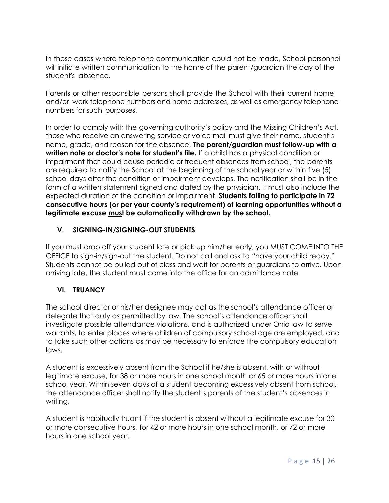In those cases where telephone communication could not be made, School personnel will initiate written communication to the home of the parent/guardian the day of the student's absence.

Parents or other responsible persons shall provide the School with their current home and/or work telephone numbers and home addresses, as well as emergency telephone numbers for such purposes.

In order to comply with the governing authority's policy and the Missing Children's Act, those who receive an answering service or voice mail must give their name, student's name, grade, and reason for the absence. **The parent/guardian must follow-up with a written note or doctor's note for student's file.** If a child has a physical condition or impairment that could cause periodic or frequent absences from school, the parents are required to notify the School at the beginning of the school year or within five (5) school days after the condition or impairment develops. The notification shall be in the form of a written statement signed and dated by the physician. It must also include the expected duration of the condition or impairment. **Students failing to participate in 72 consecutive hours (or per your county's requirement) of learning opportunities without a legitimate excuse must be automatically withdrawn by the school.**

## **V. SIGNING-IN/SIGNING-OUT STUDENTS**

If you must drop off your student late or pick up him/her early, you MUST COME INTO THE OFFICE to sign-in/sign-out the student. Do not call and ask to "have your child ready." Students cannot be pulled out of class and wait for parents or guardians to arrive. Upon arriving late, the student must come into the office for an admittance note.

## **VI. TRUANCY**

The school director or his/her designee may act as the school's attendance officer or delegate that duty as permitted by law. The school's attendance officer shall investigate possible attendance violations, and is authorized under Ohio law to serve warrants, to enter places where children of compulsory school age are employed, and to take such other actions as may be necessary to enforce the compulsory education laws.

A student is excessively absent from the School if he/she is absent, with or without legitimate excuse, for 38 or more hours in one school month or 65 or more hours in one school year. Within seven days of a student becoming excessively absent from school, the attendance officer shall notify the student's parents of the student's absences in writing.

A student is habitually truant if the student is absent without a legitimate excuse for 30 or more consecutive hours, for 42 or more hours in one school month, or 72 or more hours in one school year.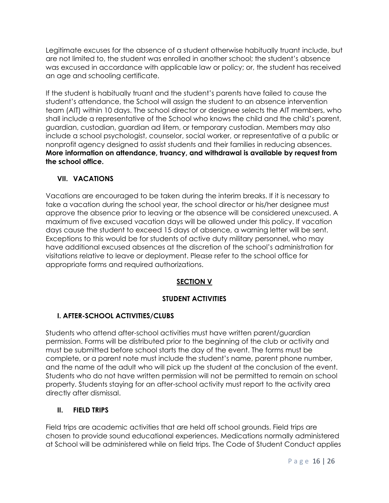Legitimate excuses for the absence of a student otherwise habitually truant include, but are not limited to, the student was enrolled in another school; the student's absence was excused in accordance with applicable law or policy; or, the student has received an age and schooling certificate.

If the student is habitually truant and the student's parents have failed to cause the student's attendance, the School will assign the student to an absence intervention team (AIT) within 10 days. The school director or designee selects the AIT members, who shall include a representative of the School who knows the child and the child's parent, guardian, custodian, guardian ad litem, or temporary custodian. Members may also include a school psychologist, counselor, social worker, or representative of a public or nonprofit agency designed to assist students and their families in reducing absences. **More information on attendance, truancy, and withdrawal is available by request from the school office.**

## **VII. VACATIONS**

Vacations are encouraged to be taken during the interim breaks. If it is necessary to take a vacation during the school year, the school director or his/her designee must approve the absence prior to leaving or the absence will be considered unexcused. A maximum of five excused vacation days will be allowed under this policy. If vacation days cause the student to exceed 15 days of absence, a warning letter will be sent. Exceptions to this would be for students of active duty military personnel, who may have additional excused absences at the discretion of the school's administration for visitations relative to leave or deployment. Please refer to the school office for appropriate forms and required authorizations.

## **SECTION V**

## **STUDENT ACTIVITIES**

## **I. AFTER-SCHOOL ACTIVITIES/CLUBS**

Students who attend after-school activities must have written parent/guardian permission. Forms will be distributed prior to the beginning of the club or activity and must be submitted before school starts the day of the event. The forms must be complete, or a parent note must include the student's name, parent phone number, and the name of the adult who will pick up the student at the conclusion of the event. Students who do not have written permission will not be permitted to remain on school property. Students staying for an after-school activity must report to the activity area directly after dismissal.

## **II. FIELD TRIPS**

Field trips are academic activities that are held off school grounds. Field trips are chosen to provide sound educational experiences. Medications normally administered at School will be administered while on field trips. The Code of Student Conduct applies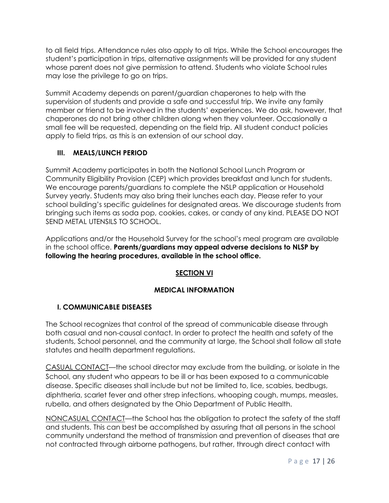to all field trips. Attendance rules also apply to all trips. While the School encourages the student's participation in trips, alternative assignments will be provided for any student whose parent does not give permission to attend. Students who violate School rules may lose the privilege to go on trips.

Summit Academy depends on parent/guardian chaperones to help with the supervision of students and provide a safe and successful trip. We invite any family member or friend to be involved in the students' experiences. We do ask, however, that chaperones do not bring other children along when they volunteer. Occasionally a small fee will be requested, depending on the field trip. All student conduct policies apply to field trips, as this is an extension of our school day.

## **III. MEALS/LUNCH PERIOD**

Summit Academy participates in both the National School Lunch Program or Community Eligibility Provision (CEP) which provides breakfast and lunch for students. We encourage parents/guardians to complete the NSLP application or Household Survey yearly. Students may also bring their lunches each day. Please refer to your school building's specific guidelines for designated areas. We discourage students from bringing such items as soda pop, cookies, cakes, or candy of any kind. PLEASE DO NOT SEND METAL UTENSILS TO SCHOOL.

Applications and/or the Household Survey for the school's meal program are available in the school office. **Parents/guardians may appeal adverse decisions to NLSP by following the hearing procedures, available in the school office.**

## **SECTION VI**

## **MEDICAL INFORMATION**

## **I. COMMUNICABLE DISEASES**

The School recognizes that control of the spread of communicable disease through both casual and non-causal contact. In order to protect the health and safety of the students, School personnel, and the community at large, the School shall follow all state statutes and health department regulations.

CASUAL CONTACT—the school director may exclude from the building, or isolate in the School, any student who appears to be ill or has been exposed to a communicable disease. Specific diseases shall include but not be limited to, lice, scabies, bedbugs, diphtheria, scarlet fever and other strep infections, whooping cough, mumps, measles, rubella, and others designated by the Ohio Department of Public Health.

NONCASUAL CONTACT—the School has the obligation to protect the safety of the staff and students. This can best be accomplished by assuring that all persons in the school community understand the method of transmission and prevention of diseases that are not contracted through airborne pathogens, but rather, through direct contact with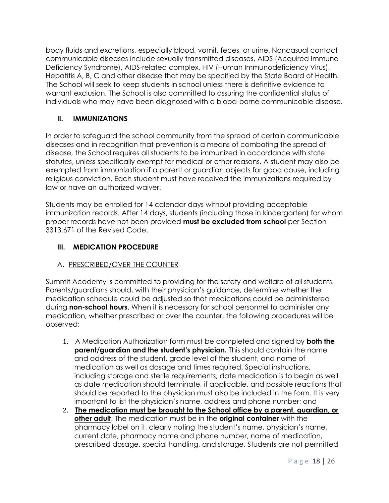body fluids and excretions, especially blood, vomit, feces, or urine. Noncasual contact communicable diseases include sexually transmitted diseases, AIDS (Acquired Immune Deficiency Syndrome), AIDS-related complex, HIV (Human Immunodeficiency Virus), Hepatitis A, B, C and other disease that may be specified by the State Board of Health. The School will seek to keep students in school unless there is definitive evidence to warrant exclusion. The School is also committed to assuring the confidential status of individuals who may have been diagnosed with a blood-borne communicable disease.

## **II. IMMUNIZATIONS**

In order to safeguard the school community from the spread of certain communicable diseases and in recognition that prevention is a means of combating the spread of disease, the School requires all students to be immunized in accordance with state statutes, unless specifically exempt for medical or other reasons. A student may also be exempted from immunization if a parent or guardian objects for good cause, including religious conviction. Each student must have received the immunizations required by law or have an authorized waiver.

Students may be enrolled for 14 calendar days without providing acceptable immunization records. After 14 days, students (including those in kindergarten) for whom proper records have not been provided **must be excluded from school** per Section 3313.671 of the Revised Code.

## **III. MEDICATION PROCEDURE**

## A. PRESCRIBED/OVER THE COUNTER

Summit Academy is committed to providing for the safety and welfare of all students. Parents/guardians should, with their physician's guidance, determine whether the medication schedule could be adjusted so that medications could be administered during **non-school hours**. When it is necessary for school personnel to administer any medication, whether prescribed or over the counter, the following procedures will be observed:

- 1. A Medication Authorization form must be completed and signed by **both the parent/guardian and the student's physician.** This should contain the name and address of the student, grade level of the student, and name of medication as well as dosage and times required. Special instructions, including storage and sterile requirements, date medication is to begin as well as date medication should terminate, if applicable, and possible reactions that should be reported to the physician must also be included in the form. It is very important to list the physician's name, address and phone number; and
- 2. **The medication must be brought to the School office by a parent, guardian, or other adult**. The medication must be in the **original container** with the pharmacy label on it, clearly noting the student's name, physician's name, current date, pharmacy name and phone number, name of medication, prescribed dosage, special handling, and storage. Students are not permitted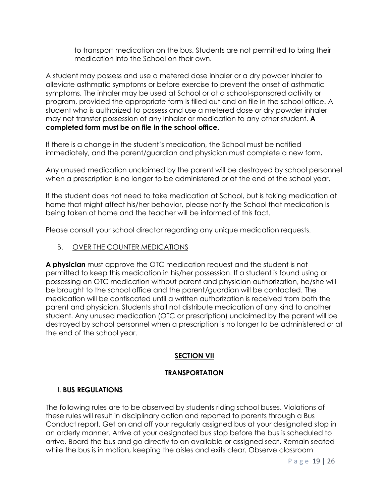to transport medication on the bus. Students are not permitted to bring their medication into the School on their own.

A student may possess and use a metered dose inhaler or a dry powder inhaler to alleviate asthmatic symptoms or before exercise to prevent the onset of asthmatic symptoms. The inhaler may be used at School or at a school-sponsored activity or program, provided the appropriate form is filled out and on file in the school office. A student who is authorized to possess and use a metered dose or dry powder inhaler may not transfer possession of any inhaler or medication to any other student. **A completed form must be on file in the school office.**

If there is a change in the student's medication, the School must be notified immediately, and the parent/guardian and physician must complete a new form**.**

Any unused medication unclaimed by the parent will be destroyed by school personnel when a prescription is no longer to be administered or at the end of the school year.

If the student does not need to take medication at School, but is taking medication at home that might affect his/her behavior, please notify the School that medication is being taken at home and the teacher will be informed of this fact.

Please consult your school director regarding any unique medication requests.

B. OVER THE COUNTER MEDICATIONS

**A physician** must approve the OTC medication request and the student is not permitted to keep this medication in his/her possession. If a student is found using or possessing an OTC medication without parent and physician authorization, he/she will be brought to the school office and the parent/guardian will be contacted. The medication will be confiscated until a written authorization is received from both the parent and physician. Students shall not distribute medication of any kind to another student. Any unused medication (OTC or prescription) unclaimed by the parent will be destroyed by school personnel when a prescription is no longer to be administered or at the end of the school year.

## **SECTION VII**

## **TRANSPORTATION**

## **I. BUS REGULATIONS**

The following rules are to be observed by students riding school buses. Violations of these rules will result in disciplinary action and reported to parents through a Bus Conduct report. Get on and off your regularly assigned bus at your designated stop in an orderly manner. Arrive at your designated bus stop before the bus is scheduled to arrive. Board the bus and go directly to an available or assigned seat. Remain seated while the bus is in motion, keeping the aisles and exits clear. Observe classroom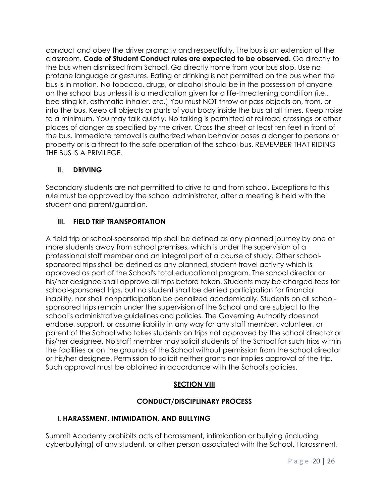conduct and obey the driver promptly and respectfully. The bus is an extension of the classroom. **Code of Student Conduct rules are expected to be observed.** Go directly to the bus when dismissed from School. Go directly home from your bus stop. Use no profane language or gestures. Eating or drinking is not permitted on the bus when the bus is in motion. No tobacco, drugs, or alcohol should be in the possession of anyone on the school bus unless it is a medication given for a life-threatening condition (i.e., bee sting kit, asthmatic inhaler, etc.) You must NOT throw or pass objects on, from, or into the bus. Keep all objects or parts of your body inside the bus at all times. Keep noise to a minimum. You may talk quietly. No talking is permitted at railroad crossings or other places of danger as specified by the driver. Cross the street at least ten feet in front of the bus. Immediate removal is authorized when behavior poses a danger to persons or property or is a threat to the safe operation of the school bus. REMEMBER THAT RIDING THE BUS IS A PRIVILEGE.

## **II. DRIVING**

Secondary students are not permitted to drive to and from school. Exceptions to this rule must be approved by the school administrator, after a meeting is held with the student and parent/guardian.

## **III. FIELD TRIP TRANSPORTATION**

A field trip or school-sponsored trip shall be defined as any planned journey by one or more students away from school premises, which is under the supervision of a professional staff member and an integral part of a course of study. Other schoolsponsored trips shall be defined as any planned, student-travel activity which is approved as part of the School's total educational program. The school director or his/her designee shall approve all trips before taken. Students may be charged fees for school-sponsored trips, but no student shall be denied participation for financial inability, nor shall nonparticipation be penalized academically. Students on all schoolsponsored trips remain under the supervision of the School and are subject to the school's administrative guidelines and policies. The Governing Authority does not endorse, support, or assume liability in any way for any staff member, volunteer, or parent of the School who takes students on trips not approved by the school director or his/her designee. No staff member may solicit students of the School for such trips within the facilities or on the grounds of the School without permission from the school director or his/her designee. Permission to solicit neither grants nor implies approval of the trip. Such approval must be obtained in accordance with the School's policies.

## **SECTION VIII**

## **CONDUCT/DISCIPLINARY PROCESS**

## **I. HARASSMENT, INTIMIDATION, AND BULLYING**

Summit Academy prohibits acts of harassment, intimidation or bullying (including cyberbullying) of any student, or other person associated with the School. Harassment,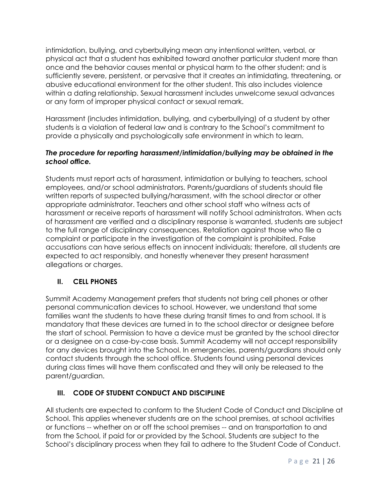intimidation, bullying, and cyberbullying mean any intentional written, verbal, or physical act that a student has exhibited toward another particular student more than once and the behavior causes mental or physical harm to the other student; and is sufficiently severe, persistent, or pervasive that it creates an intimidating, threatening, or abusive educational environment for the other student. This also includes violence within a dating relationship. Sexual harassment includes unwelcome sexual advances or any form of improper physical contact or sexual remark.

Harassment (includes intimidation, bullying, and cyberbullying) of a student by other students is a violation of federal law and is contrary to the School's commitment to provide a physically and psychologically safe environment in which to learn.

## *The procedure for reporting harassment/intimidation/bullying may be obtained in the school office.*

Students must report acts of harassment, intimidation or bullying to teachers, school employees, and/or school administrators. Parents/guardians of students should file written reports of suspected bullying/harassment, with the school director or other appropriate administrator. Teachers and other school staff who witness acts of harassment or receive reports of harassment will notify School administrators. When acts of harassment are verified and a disciplinary response is warranted, students are subject to the full range of disciplinary consequences. Retaliation against those who file a complaint or participate in the investigation of the complaint is prohibited. False accusations can have serious effects on innocent individuals; therefore, all students are expected to act responsibly, and honestly whenever they present harassment allegations or charges.

## **II. CELL PHONES**

Summit Academy Management prefers that students not bring cell phones or other personal communication devices to school. However, we understand that some families want the students to have these during transit times to and from school. It is mandatory that these devices are turned in to the school director or designee before the start of school. Permission to have a device must be granted by the school director or a designee on a case-by-case basis. Summit Academy will not accept responsibility for any devices brought into the School. In emergencies, parents/guardians should only contact students through the school office. Students found using personal devices during class times will have them confiscated and they will only be released to the parent/guardian.

## **III. CODE OF STUDENT CONDUCT AND DISCIPLINE**

All students are expected to conform to the Student Code of Conduct and Discipline at School. This applies whenever students are on the school premises, at school activities or functions -- whether on or off the school premises -- and on transportation to and from the School, if paid for or provided by the School. Students are subject to the School's disciplinary process when they fail to adhere to the Student Code of Conduct.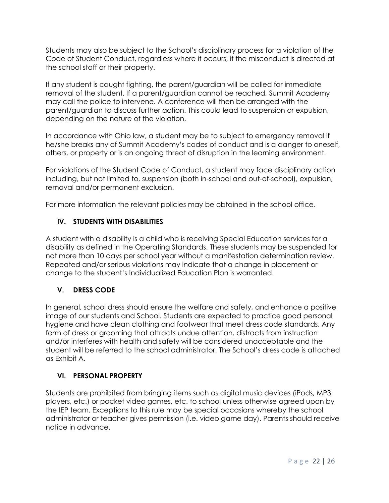Students may also be subject to the School's disciplinary process for a violation of the Code of Student Conduct, regardless where it occurs, if the misconduct is directed at the school staff or their property.

If any student is caught fighting, the parent/guardian will be called for immediate removal of the student. If a parent/guardian cannot be reached, Summit Academy may call the police to intervene. A conference will then be arranged with the parent/guardian to discuss further action. This could lead to suspension or expulsion, depending on the nature of the violation.

In accordance with Ohio law, a student may be to subject to emergency removal if he/she breaks any of Summit Academy's codes of conduct and is a danger to oneself, others, or property or is an ongoing threat of disruption in the learning environment.

For violations of the Student Code of Conduct, a student may face disciplinary action including, but not limited to, suspension (both in-school and out-of-school), expulsion, removal and/or permanent exclusion.

For more information the relevant policies may be obtained in the school office.

## **IV. STUDENTS WITH DISABILITIES**

A student with a disability is a child who is receiving Special Education services for a disability as defined in the Operating Standards. These students may be suspended for not more than 10 days per school year without a manifestation determination review. Repeated and/or serious violations may indicate that a change in placement or change to the student's Individualized Education Plan is warranted.

## **V. DRESS CODE**

In general, school dress should ensure the welfare and safety, and enhance a positive image of our students and School. Students are expected to practice good personal hygiene and have clean clothing and footwear that meet dress code standards. Any form of dress or grooming that attracts undue attention, distracts from instruction and/or interferes with health and safety will be considered unacceptable and the student will be referred to the school administrator. The School's dress code is attached as Exhibit A.

## **VI. PERSONAL PROPERTY**

Students are prohibited from bringing items such as digital music devices (iPods, MP3 players, etc.) or pocket video games, etc. to school unless otherwise agreed upon by the IEP team. Exceptions to this rule may be special occasions whereby the school administrator or teacher gives permission (i.e. video game day). Parents should receive notice in advance.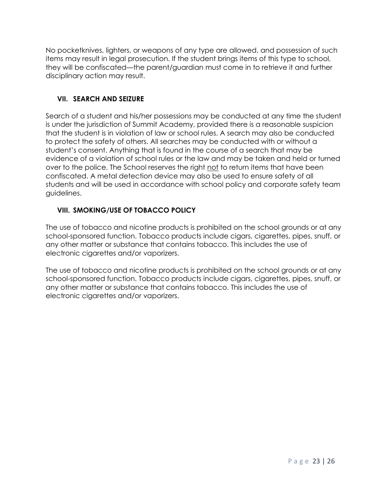No pocketknives, lighters, or weapons of any type are allowed, and possession of such items may result in legal prosecution. If the student brings items of this type to school, they will be confiscated—the parent/guardian must come in to retrieve it and further disciplinary action may result.

## **VII. SEARCH AND SEIZURE**

Search of a student and his/her possessions may be conducted at any time the student is under the jurisdiction of Summit Academy, provided there is a reasonable suspicion that the student is in violation of law or school rules. A search may also be conducted to protect the safety of others. All searches may be conducted with or without a student's consent. Anything that is found in the course of a search that may be evidence of a violation of school rules or the law and may be taken and held or turned over to the police. The School reserves the right not to return items that have been confiscated. A metal detection device may also be used to ensure safety of all students and will be used in accordance with school policy and corporate safety team guidelines.

## **VIII. SMOKING/USE OF TOBACCO POLICY**

The use of tobacco and nicotine products is prohibited on the school grounds or at any school-sponsored function. Tobacco products include cigars, cigarettes, pipes, snuff, or any other matter or substance that contains tobacco. This includes the use of electronic cigarettes and/or vaporizers.

The use of tobacco and nicotine products is prohibited on the school grounds or at any school-sponsored function. Tobacco products include cigars, cigarettes, pipes, snuff, or any other matter or substance that contains tobacco. This includes the use of electronic cigarettes and/or vaporizers.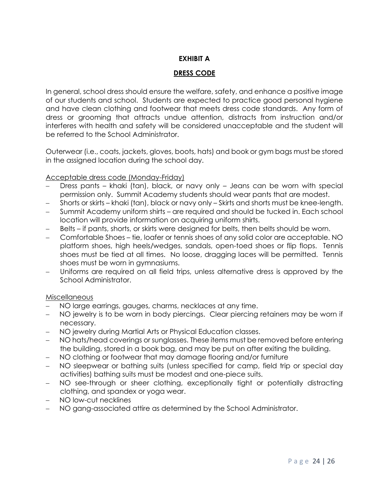## **EXHIBIT A**

## **DRESS CODE**

In general, school dress should ensure the welfare, safety, and enhance a positive image of our students and school. Students are expected to practice good personal hygiene and have clean clothing and footwear that meets dress code standards. Any form of dress or grooming that attracts undue attention, distracts from instruction and/or interferes with health and safety will be considered unacceptable and the student will be referred to the School Administrator.

Outerwear (i.e., coats, jackets, gloves, boots, hats) and book or gym bags must be stored in the assigned location during the school day.

#### Acceptable dress code (Monday-Friday)

- − Dress pants khaki (tan), black, or navy only Jeans can be worn with special permission only. Summit Academy students should wear pants that are modest.
- − Shorts or skirts khaki (tan), black or navy only Skirts and shorts must be knee-length.
- − Summit Academy uniform shirts are required and should be tucked in. Each school location will provide information on acquiring uniform shirts.
- − Belts if pants, shorts, or skirts were designed for belts, then belts should be worn.
- − Comfortable Shoes tie, loafer or tennis shoes of any solid color are acceptable. NO platform shoes, high heels/wedges, sandals, open-toed shoes or flip flops. Tennis shoes must be tied at all times. No loose, dragging laces will be permitted. Tennis shoes must be worn in gymnasiums.
- Uniforms are required on all field trips, unless alternative dress is approved by the School Administrator.

#### **Miscellaneous**

- − NO large earrings, gauges, charms, necklaces at any time.
- NO jewelry is to be worn in body piercings. Clear piercing retainers may be worn if necessary.
- − NO jewelry during Martial Arts or Physical Education classes.
- NO hats/head coverings or sunglasses. These items must be removed before entering the building, stored in a book bag, and may be put on after exiting the building.
- NO clothing or footwear that may damage flooring and/or furniture
- NO sleepwear or bathing suits (unless specified for camp, field trip or special day activities) bathing suits must be modest and one-piece suits.
- NO see-through or sheer clothing, exceptionally tight or potentially distracting clothing, and spandex or yoga wear.
- − NO low-cut necklines
- − NO gang-associated attire as determined by the School Administrator.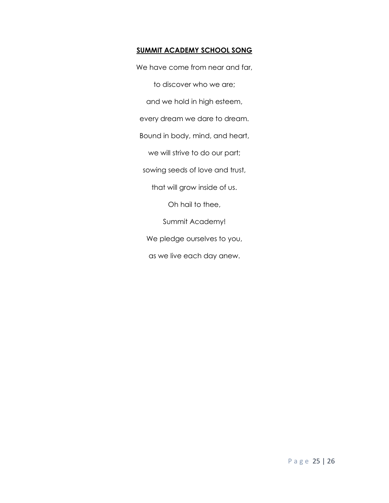#### **SUMMIT ACADEMY SCHOOL SONG**

We have come from near and far, to discover who we are; and we hold in high esteem, every dream we dare to dream. Bound in body, mind, and heart, we will strive to do our part; sowing seeds of love and trust, that will grow inside of us. Oh hail to thee, Summit Academy! We pledge ourselves to you, as we live each day anew.